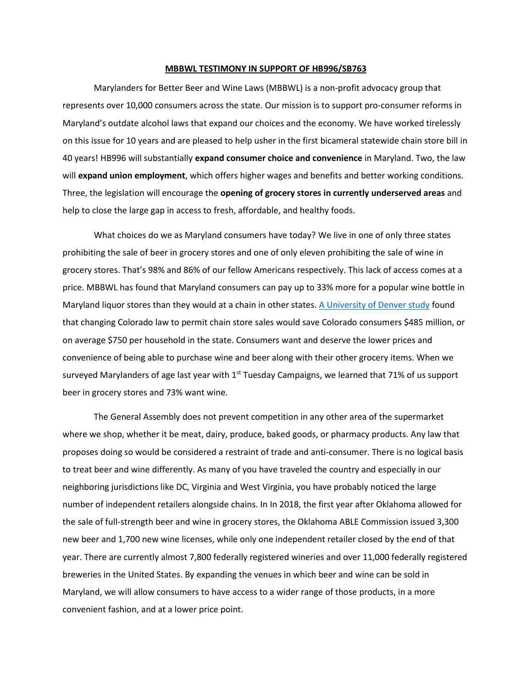## **MBBWL TESTIMONY IN SUPPORT OF HB996/SB763**

Marylanders for Better Beer and Wine Laws (MBBWL) is a non-profit advocacy group that represents over 10,000 consumers across the state. Our mission is to support pro-consumer reforms in Maryland's outdate alcohol laws that expand our choices and the economy. We have worked tirelessly on this issue for 10 years and are pleased to help usher in the first bicameral statewide chain store bill in 40 years! HB996 will substantially **expand consumer choice and convenience** in Maryland. Two, the law will **expand union employment**, which offers higher wages and benefits and better working conditions. Three, the legislation will encourage the **opening of grocery stores in currently underserved areas** and help to close the large gap in access to fresh, affordable, and healthy foods.

What choices do we as Maryland consumers have today? We live in one of only three states prohibiting the sale of beer in grocery stores and one of only eleven prohibiting the sale of wine in grocery stores. That's 98% and 86% of our fellow Americans respectively. This lack of access comes at a price. MBBWL has found that Maryland consumers can pay up to 33% more for a popular wine bottle in Maryland liquor stores than they would at a chain in other states. A [University of Denver study](https://www.bizjournals.com/denver/news/2015/12/09/grocery-store-beer-sales-will-drive-down-prices.html) found that changing Colorado law to permit chain store sales would save Colorado consumers \$485 million, or on average \$750 per household in the state. Consumers want and deserve the lower prices and convenience of being able to purchase wine and beer along with their other grocery items. When we surveyed Marylanders of age last year with  $1<sup>st</sup>$  Tuesday Campaigns, we learned that 71% of us support beer in grocery stores and 73% want wine.

The General Assembly does not prevent competition in any other area of the supermarket where we shop, whether it be meat, dairy, produce, baked goods, or pharmacy products. Any law that proposes doing so would be considered a restraint of trade and anti-consumer. There is no logical basis to treat beer and wine differently. As many of you have traveled the country and especially in our neighboring jurisdictions like DC, Virginia and West Virginia, you have probably noticed the large number of independent retailers alongside chains. In In 2018, the first year after Oklahoma allowed for the sale of full-strength beer and wine in grocery stores, the Oklahoma ABLE Commission issued 3,300 new beer and 1,700 new wine licenses, while only one independent retailer closed by the end of that year. There are currently almost 7,800 federally registered wineries and over 11,000 federally registered breweries in the United States. By expanding the venues in which beer and wine can be sold in Maryland, we will allow consumers to have access to a wider range of those products, in a more convenient fashion, and at a lower price point.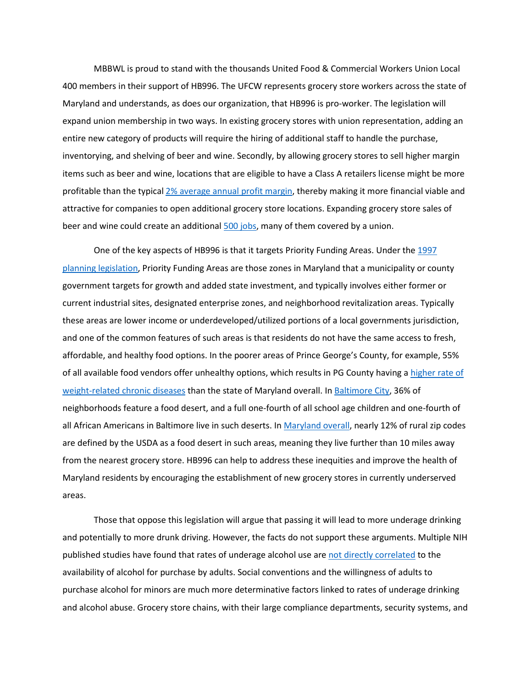MBBWL is proud to stand with the thousands United Food & Commercial Workers Union Local 400 members in their support of HB996. The UFCW represents grocery store workers across the state of Maryland and understands, as does our organization, that HB996 is pro-worker. The legislation will expand union membership in two ways. In existing grocery stores with union representation, adding an entire new category of products will require the hiring of additional staff to handle the purchase, inventorying, and shelving of beer and wine. Secondly, by allowing grocery stores to sell higher margin items such as beer and wine, locations that are eligible to have a Class A retailers license might be more profitable than the typical 2% average annual [profit margin,](https://csimarket.com/Industry/industry_Profitability_Ratios.php?ind=1305) thereby making it more financial viable and attractive for companies to open additional grocery store locations. Expanding grocery store sales of beer and wine could create an additiona[l 500 jobs,](https://64b392b3-ba71-42ad-9f71-11fa6b954c1f.filesusr.com/ugd/5864c1_6b108a6dc16b4bf69b6146778b6a40a3.pdf?index=true) many of them covered by a union.

One of the key aspects of HB996 is that it targets Priority Funding Areas. Under th[e 1997](https://planning.maryland.gov/Pages/OurProducts/pfamap.aspx)  [planning legislation,](https://planning.maryland.gov/Pages/OurProducts/pfamap.aspx) Priority Funding Areas are those zones in Maryland that a municipality or county government targets for growth and added state investment, and typically involves either former or current industrial sites, designated enterprise zones, and neighborhood revitalization areas. Typically these areas are lower income or underdeveloped/utilized portions of a local governments jurisdiction, and one of the common features of such areas is that residents do not have the same access to fresh, affordable, and healthy food options. In the poorer areas of Prince George's County, for example, 55% of all available food vendors offer unhealthy options, which results in PG County having [a higher rate of](https://planning.maryland.gov/Pages/OurProducts/pfamap.aspx)  [weight-related chronic diseases](https://planning.maryland.gov/Pages/OurProducts/pfamap.aspx) than the state of Maryland overall. In [Baltimore City,](https://www.umaryland.edu/gogreen/news/food/combating-the-urban-food-desert.php) 36% of neighborhoods feature a food desert, and a full one-fourth of all school age children and one-fourth of all African Americans in Baltimore live in such deserts. I[n Maryland overall,](http://towsondatastories.weebly.com/food-deserts.html#:~:text=While%20comparing%20food%20deserts%20in,suburban%20areas%20it) nearly 12% of rural zip codes are defined by the USDA as a food desert in such areas, meaning they live further than 10 miles away from the nearest grocery store. HB996 can help to address these inequities and improve the health of Maryland residents by encouraging the establishment of new grocery stores in currently underserved areas.

Those that oppose this legislation will argue that passing it will lead to more underage drinking and potentially to more drunk driving. However, the facts do not support these arguments. Multiple NIH published studies have found that rates of underage alcohol use are [not directly correlated](https://www.ncbi.nlm.nih.gov/pmc/articles/PMC2213632/) to the availability of alcohol for purchase by adults. Social conventions and the willingness of adults to purchase alcohol for minors are much more determinative factors linked to rates of underage drinking and alcohol abuse. Grocery store chains, with their large compliance departments, security systems, and